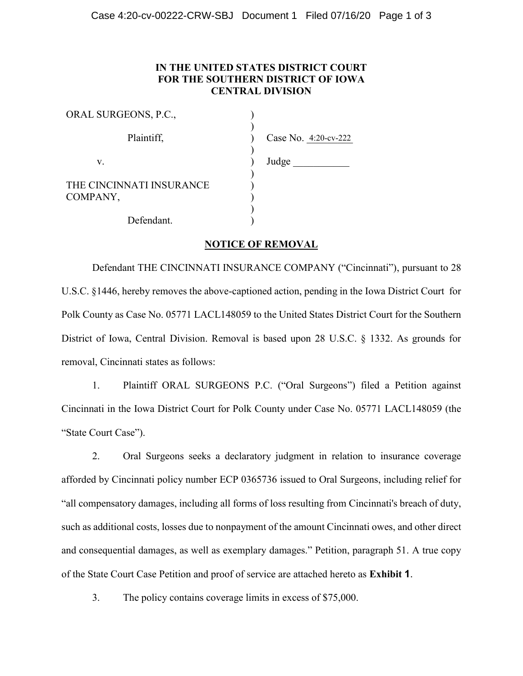## **IN THE UNITED STATES DISTRICT COURT FOR THE SOUTHERN DISTRICT OF IOWA CENTRAL DIVISION**

| ORAL SURGEONS, P.C.,                 |                      |
|--------------------------------------|----------------------|
| Plaintiff,                           | Case No. 4:20-cv-222 |
| V.                                   | Judge                |
| THE CINCINNATI INSURANCE<br>COMPANY, |                      |
| Defendant.                           |                      |

#### **NOTICE OF REMOVAL**

Defendant THE CINCINNATI INSURANCE COMPANY ("Cincinnati"), pursuant to 28 U.S.C. §1446, hereby removes the above-captioned action, pending in the Iowa District Court for Polk County as Case No. 05771 LACL148059 to the United States District Court for the Southern District of Iowa, Central Division. Removal is based upon 28 U.S.C. § 1332. As grounds for removal, Cincinnati states as follows:

1. Plaintiff ORAL SURGEONS P.C. ("Oral Surgeons") filed a Petition against Cincinnati in the Iowa District Court for Polk County under Case No. 05771 LACL148059 (the "State Court Case").

2. Oral Surgeons seeks a declaratory judgment in relation to insurance coverage afforded by Cincinnati policy number ECP 0365736 issued to Oral Surgeons, including relief for ³all compensatory damages, including all forms of loss resulting from Cincinnati's breach of duty, such as additional costs, losses due to nonpayment of the amount Cincinnati owes, and other direct and consequential damages, as well as exemplary damages." Petition, paragraph 51. A true copy of the State Court Case Petition and proof of service are attached hereto as **Exhibit 1**.

3. The policy contains coverage limits in excess of \$75,000.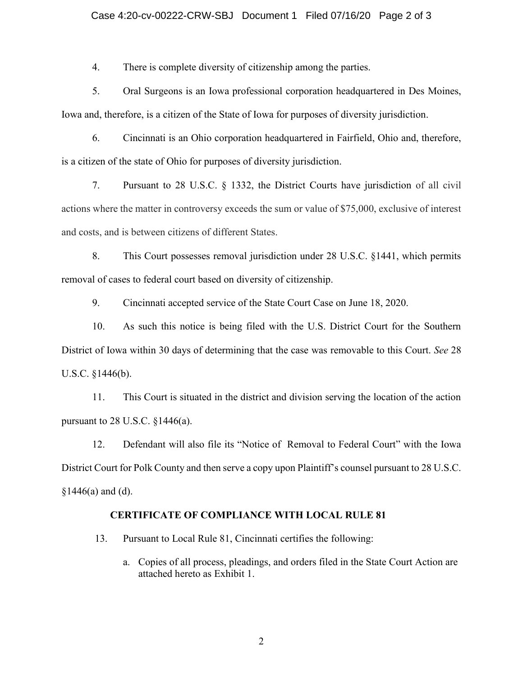#### Case 4:20-cv-00222-CRW-SBJ Document 1 Filed 07/16/20 Page 2 of 3

4. There is complete diversity of citizenship among the parties.

5. Oral Surgeons is an Iowa professional corporation headquartered in Des Moines, Iowa and, therefore, is a citizen of the State of Iowa for purposes of diversity jurisdiction.

6. Cincinnati is an Ohio corporation headquartered in Fairfield, Ohio and, therefore, is a citizen of the state of Ohio for purposes of diversity jurisdiction.

7. Pursuant to 28 U.S.C. § 1332, the District Courts have jurisdiction of all civil actions where the matter in controversy exceeds the sum or value of \$75,000, exclusive of interest and costs, and is between citizens of different States.

8. This Court possesses removal jurisdiction under 28 U.S.C. §1441, which permits removal of cases to federal court based on diversity of citizenship.

9. Cincinnati accepted service of the State Court Case on June 18, 2020.

10. As such this notice is being filed with the U.S. District Court for the Southern District of Iowa within 30 days of determining that the case was removable to this Court. *See* 28 U.S.C. §1446(b).

11. This Court is situated in the district and division serving the location of the action pursuant to 28 U.S.C.  $§1446(a)$ .

12. Defendant will also file its "Notice of Removal to Federal Court" with the Iowa District Court for Polk County and then serve a copy upon Plaintiff's counsel pursuant to  $28$  U.S.C.  $$1446(a)$  and (d).

#### **CERTIFICATE OF COMPLIANCE WITH LOCAL RULE 81**

13. Pursuant to Local Rule 81, Cincinnati certifies the following:

a. Copies of all process, pleadings, and orders filed in the State Court Action are attached hereto as Exhibit 1.

2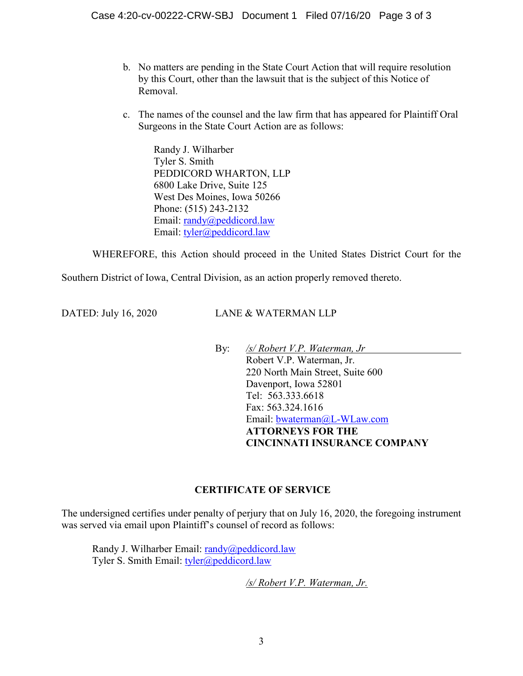- b. No matters are pending in the State Court Action that will require resolution by this Court, other than the lawsuit that is the subject of this Notice of Removal.
- c. The names of the counsel and the law firm that has appeared for Plaintiff Oral Surgeons in the State Court Action are as follows:

Randy J. Wilharber Tyler S. Smith PEDDICORD WHARTON, LLP 6800 Lake Drive, Suite 125 West Des Moines, Iowa 50266 Phone: (515) 243-2132 Email: [randy@peddicord.law](mailto:randy@peddicord.law) Email: [tyler@peddicord.law](mailto:tyler@peddicord.law) 

WHEREFORE, this Action should proceed in the United States District Court for the

Southern District of Iowa, Central Division, as an action properly removed thereto.

DATED: July 16, 2020 LANE & WATERMAN LLP

By: */s/ Robert V.P. Waterman, Jr* Robert V.P. Waterman, Jr. 220 North Main Street, Suite 600 Davenport, Iowa 52801 Tel: 563.333.6618 Fax: 563.324.1616 Email: [bwaterman@L-WLaw.com](mailto:bwaterman@L-WLaw.com) **ATTORNEYS FOR THE CINCINNATI INSURANCE COMPANY**

## **CERTIFICATE OF SERVICE**

The undersigned certifies under penalty of perjury that on July 16, 2020, the foregoing instrument was served via email upon Plaintiff's counsel of record as follows:

Randy J. Wilharber Email: [randy@peddicord.law](mailto:randy@peddicord.law) Tyler S. Smith Email: [tyler@peddicord.law](mailto:tyler@peddicord.law)

*/s/ Robert V.P. Waterman, Jr.*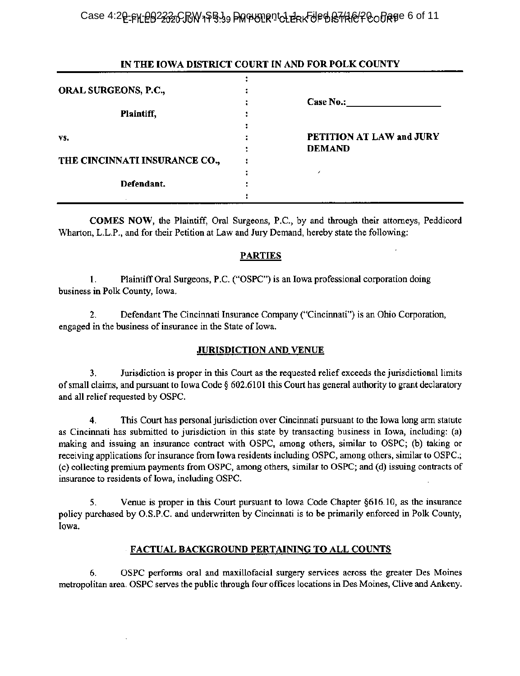Case 4:2<u>0-pK eB2232CRW</u>1\$B.39 DM PURD ICLERK UP BRTH @POORTE 6 of 11

### IN THE IOWA DISTRICT COURT IN AND FOR POLK COUNTY

| ORAL SURGEONS, P.C.,          |                                           |
|-------------------------------|-------------------------------------------|
| Plaintiff,                    | <b>Case No.:</b>                          |
| VS.                           | PETITION AT LAW and JURY<br><b>DEMAND</b> |
| THE CINCINNATI INSURANCE CO., |                                           |
| Defendant.                    |                                           |

COMES NOW, the Plaintiff, Oral Surgeons, P.C., by and through their attorneys, Peddicord Wharton, L.L.P., and for their Petition at Law and Jury Demand, hereby state the following:

## PARTIES

1. Plaintiff Oral Surgeons, P.C. ("OSPC") is an Iowa professional corporation doing business in Polk County, Iowa.

2. Defendant The Cincinnati Insurance Company ("Cincinnati") is an Ohio Corporation, engaged in the business of insurance in the State of Iowa.

## JURISDICTION AND.VENUE

3. Jurisdiction is proper in this Court as the requested relief exceeds the jurisdictional limits of small claims, and pursuant to Iowa Code  $\S 602.6101$  this Court has general authority to grant declaratory and all relief requested by OSPC.

4. This Court has personal jurisdiction over Cincinnati pursuant to the Iowa long arm statute as Cincinnati has submitted to jurisdiction in this state by transacting business in Iowa, including: (a) making and issuing an insurance contract with OSPC, among others, similar to OSPC; (b) taking or receiving applications for insurance from Iowa residents including OSPC, among others, similar to OSPC.; (c) collecting premium payments from OSPC, among others, similar to OSPC; and (d) issuing contracts of insurance to residents of Iowa, including OSPC.

5. Venue is proper in this Court pursuant to Iowa Code Chapter §616.10, as the insurance policy purchased by O.S.P.C. and underwritten by Cincinnati is to be primarily enforced in Polk County, Iowa.

## FACTUAL BACKGROUND PERTAINING TO ALL COUNTS

6. OSPC performs oral and maxillofacial surgery services across the greater Des Moines metropolitan area. OSPC serves the public through four offices locations in Des Moines, Clive and Ankeny.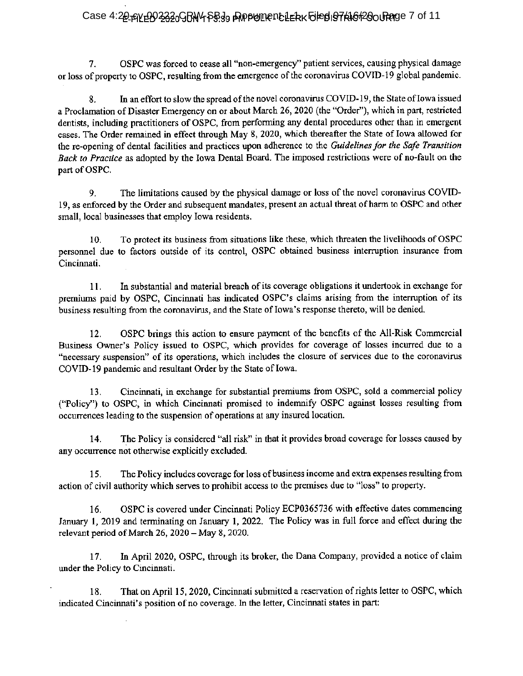## Case 4:20 AVEBO 2320 GBN 4 SB39 PAPPUMENCLERK FILED 197 FAGT 20 OURROG 7 of 11

7. OSPC was forced to cease all "non-emergency" patient services, causing physical damage or loss of property to OSPC, resulting from the emergence of the coronavirus COVID-19 global pandemic.

8. In an effort to slow the spread of the novel coronavirus COVID-19, the State of Iowa issued a Proclamation of Disaster Emergency on or about March 26, 2020 (the "Order"), which in part, restricted dentists, including practitioners of OSPC, from performing any dental procedures other than in emergent cases. The Order remained in effect through May 8, 2020, which thereafter the State of Iowa allowed for the re-opening of dental facilities and practices upon adherence to the Guidelines for the Safe Transition Back to Practice as adopted by the Iowa Dental Board. The imposed restrictions were of no-fault on the part of OSPC.

9. The limitations caused by the physical damage or loss of the novel coronavirus COVID-19, as enforced by the Order and subsequent mandates, present an actual threat of harm to OSPC and other small, local businesses that employ Iowa residents.

10. To protect its business from situations like these, which threaten the livelihoods of OSPC personnel due to factors outside of its control, OSPC obtained business interruption insurance from Cincinnati.

11. In substantial and material breach of its coverage obligations it undertook in exchange for premiums paid by OSPC, Cincinnati has indicated OSPC's claims arising from the interruption of its business resulting from the coronavirus, and the State of Iowa's response thereto, will be denied.

12. OSPC brings this action to ensure payment of the benefits of the All-Risk Commercial Business Owner's Policy issued to OSPC, which provides for coverage of losses incurred due to a "necessary suspension" of its operations, which includes the closure of services due to the coronavirus COVID-19 pandemic and resultant Order by the State of Iowa.

13. Cincinnati, in exchange for substantial premiums from OSPC, sold a commercial policy ("Policy") to OSPC, in which Cincinnati promised to indemnify OSPC against losses resulting from occurrences leading to the suspension of operations at any insured location.

14. The Policy is considered "all risk" in that it provides broad coverage for losses caused by any occurrence not otherwise explicitly excluded.

15. The Policy includes coverage for loss of business income and extra expenses resulting from action of civil authority which serves to prohibit access to the premises due to "loss" to property.

16. OSPC is covered under Cincinnati Policy ECP0365736 with effective dates commencing January 1, 2019 and terminating on January 1, 2022. The Policy was in full force and effect during the relevant period of March 26,  $2020 - May 8$ ,  $2020$ .

17. In April 2020, OSPC, through its broker, the Dana Company, provided a notice of claim under the Policy to Cincinnati.

18. That on April 15, 2020, Cincinnati submitted a reservation of rights letter to OSPC, which indicated Cincinnati's position of no coverage. In the letter, Cincinnati states in part: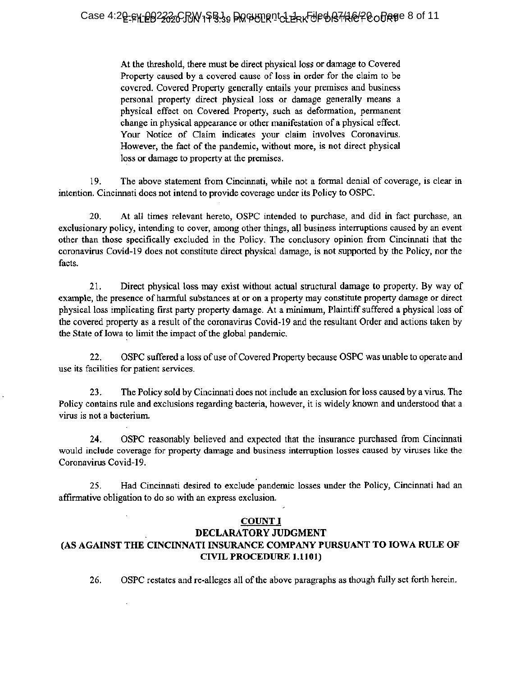At the threshold, there must be direct physical loss or damage to Covered Property caused by <sup>a</sup> covered cause of loss in order for the claim to be covered. Covered Property generally entails your premises and business personal property direct physical loss or damage generally means a physical effect on Covered Property, such as deformation, permanent change in physical appearance or other manifestation of a physical effect. Your Notice of Claim indicates your claim involves Coronavirus. However, the fact of the pandemic, without more, is not direct physical loss or damage to property at the premises.

19. The above statement from Cincinnati, while not a formal denial of coverage, is clear in intention. Cincinnati does not intend to provide coverage under its Policy to OSPC.

20. At all times relevant hereto, OSPC intended to purchase, and did in fact purchase, an exclusionary policy, intending to cover, among other things, all business interruptions caused by an event other than those specifically excluded in the Policy. The conclusory opinion from Cincinnati that the coronavirus Covid-19 does not constitute direct physical damage, is not supported by the Policy, nor the facts.

21. Direct physical loss may exist without actual structural damage to property. By way of example, the presence of harmful substances at or on a property may constitute property damage or direct physical loss implicating first party property damage. At a minimum, Plaintiff suffered a physical loss of the covered property as a result of the coronavirus Covid-19 and the resultant Order and actions taken by the State of Iowa to limit the impact of the global pandemic.

22. OSPC suffered a loss of use of Covered Property because OSPC was unable to operate and use its facilities for patient services.

23. The Policy sold by Cincinnati does not include an exclusion for loss caused by a virus. The Policy contains rule and exclusions regarding bacteria, however, it is widely known and understood that a virus is not a bacterium.

24. OSPC reasonably believed and expected that the insurance purchased from Cincinnati would include coverage for property damage and business interruption losses caused by viruses like the Coronavirus Covid-19.

25. Had Cincinnati desired to exclude pandemic losses under the Policy, Cincinnati had an affirmative obligation to do so with an express exclusion.

## COUNT I

## DECLARATORY JUDGMENT (AS AGAINST THE CINCINNATI INSURANCE COMPANY PURSUANT TO IOWA RULE OF CIVIL PROCEDURE 1.1101)

26. OSPC restates and re-alleges all of the above paragraphs as though fully set forth herein.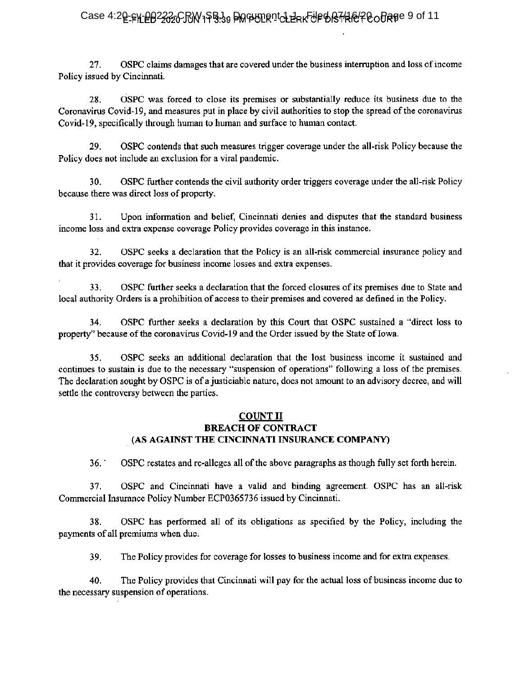# Case 4:2**0-FN-PO2232CRW1SB39 DM PDIRICL LAK-JPD B7HAOP CODRE**E 9 of 11

27. OSPC claims damages that are covered under the business interruption and loss of income Policy issued by Cincinnati.

28. OSPC was forced to close its premises or substantially reduce its business due to the Coronavirus Covid-19, and measures put in place by civil authorities to stop the spread of the coronavirus Covid-19, specifically through human to human and surface to human contact.

29. OSPC contends that such measures trigger coverage under the all-risk Policy because the Policy does not include an exclusion for a viral pandemic.

30. OSPC further contends the civil authority order triggers coverage under the all-risk Policy because there was direct loss of property.

31. Upon information and belief, Cincinnati denies and disputes that the standard business income loss and extra expense coverage Policy provides coverage in this instance.

32. OSPC seeks a declaration that the Policy is an all-risk commercial insurance policy and that it provides coverage for business income losses and extra expenses.

33. OSPC further seeks a declaration that the forced closures of its premises due to State and local authority Orders is a prohibition of access to their premises and covered as defined in the Policy.

34. OSPC further seeks a declaration by this Court that OSPC sustained a "direct loss to property" because of the coronavirus Covid-19 and the Order issued by the State of Iowa.

35. OSPC seeks an additional declaration that the lost business income it sustained and continues to sustain is due to the necessary "suspension of operations" following a loss of the premises. The declaration sought by OSPC is of a justiciable nature, does not amount to an advisory decree, and will settle the controversy between the parties.

## COUNT H BREACH OF CONTRACT (AS AGAINST THE CINCINNATI INSURANCE COMPANY)

36. OSPC restates and re-alleges all of the above paragraphs as though fully set forth herein.

37. OSPC and Cincinnati have a valid and binding agreement. OSPC has an all-risk Commercial Insurance Policy Number ECP0365736 issued by Cincinnati.

38. OSPC has performed all of its obligations as specified by the Policy, including the payments of all premiums when due.

39. The Policy provides for coverage for losses to business income and for extra expenses.

40. The Policy provides that Cincinnati will pay for the actual loss <sup>o</sup>f business income due to the necessary suspension <sup>o</sup>f operations.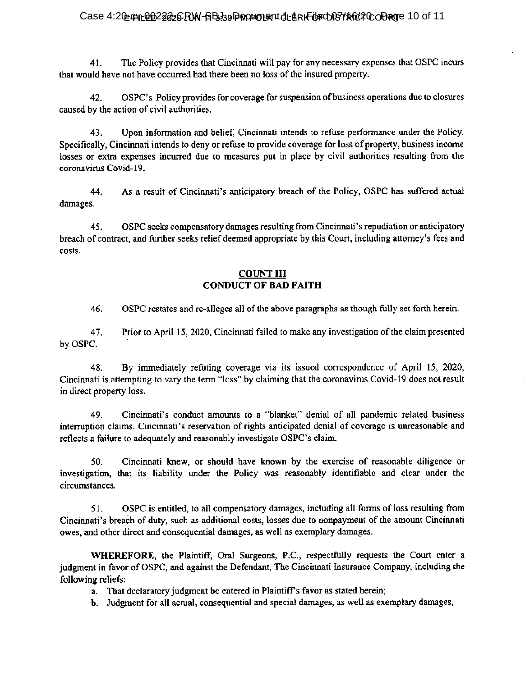### Case 4:20= PVL @ D2222CRW-SBJ39 PORPOLIENT OL ERK TO FOR DF ROCH DRIGHT 20 OF 11

41. The Policy provides that Cincinnati will pay for any necessary expenses that OSPC incurs that would have not have occurred had there been no loss of the insured property.

42. OSPC's Policy provides for coverage for suspension of business operations due to closures caused by the action of civil authorities.

43. Upon information and belief, Cincinnati intends to refuse performance under the Policy. Specifically, Cincinnati intends to deny or refuse to provide coverage for loss of property, business income losses or extra expenses incurred due to measures put in place by civil authorities resulting from the coronavirus Covid-19.

44. As a result of Cincinnati's anticipatory breach of the Policy, OSPC has suffered actual damages.

45. OSPC seeks compensatory damages resulting from Cincinnati's repudiation or anticipatory breach of contract, and further seeks relief deemed appropriate by this Court, including attorney's fees and costs.

## COUNT III CONDUCT OF BAD FAITH

46. OSPC restates and re-alleges all of the above paragraphs as though fully set forth herein.

47. Prior to April 15, 2020, Cincinnati failed to make any investigation of the claim presented by OSPC.

48. By immediately refuting coverage via its issued correspondence of April 15, 2020, Cincinnati is attempting to vary the term "loss" by claiming that the coronavirus Covid-19 does not result in direct property loss.

49. Cincinnati's conduct amounts to a "blanket" denial of all pandemic related business interruption claims. Cincinnati's reservation of rights anticipated denial of coverage is unreasonable and reflects a failure to adequately and reasonably investigate OSPC's claim.

50. Cincinnati knew, or should have known by the exercise of reasonable diligence or investigation, that its liability under the Policy was reasonably identifiable and clear under the circumstances.

51. OSPC is entitled, to all compensatory damages, including all forms of loss resulting from Cincinnati's breach of duty, such as additional costs, losses due to nonpayment of the amount Cincinnati owes, and other direct and consequential damages, as well as exemplary damages.

WHEREFORE, the Plaintiff, Oral Surgeons, P.C., respectfully requests the Court enter a judgment in favor of OSPC, and against the Defendant, The Cincinnati Insurance Company, including the following reliefs:

- a. That declaratory judgment be entered in Plaintiff's favor as stated herein;
- b. Judgment for all actual, consequential and special damages, as well as exemplary damages,